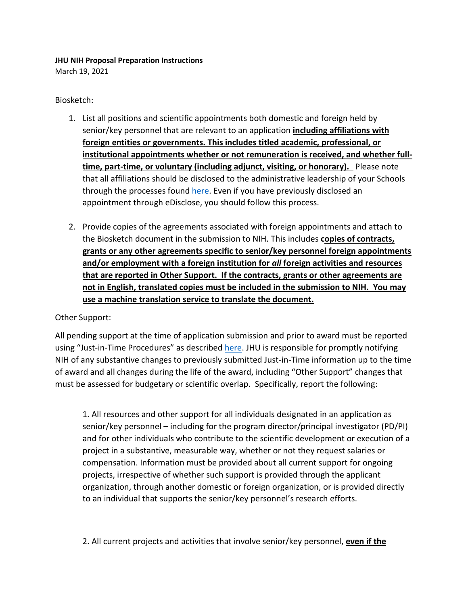## **JHU NIH Proposal Preparation Instructions**

March 19, 2021

## Biosketch:

- 1. List all positions and scientific appointments both domestic and foreign held by senior/key personnel that are relevant to an application **including affiliations with foreign entities or governments. This includes titled academic, professional, or institutional appointments whether or not remuneration is received, and whether fulltime, part-time, or voluntary (including adjunct, visiting, or honorary).** Please note that all affiliations should be disclosed to the administrative leadership of your Schools through the processes found [here.](https://research.jhu.edu/jhura/compliance/foreign-engagement/) Even if you have previously disclosed an appointment through eDisclose, you should follow this process.
- 2. Provide copies of the agreements associated with foreign appointments and attach to the Biosketch document in the submission to NIH. This includes **copies of contracts, grants or any other agreements specific to senior/key personnel foreign appointments and/or employment with a foreign institution for** *all* **foreign activities and resources that are reported in Other Support. If the contracts, grants or other agreements are not in English, translated copies must be included in the submission to NIH. You may use a machine translation service to translate the document.**

## Other Support:

All pending support at the time of application submission and prior to award must be reported using "Just-in-Time Procedures" as described [here.](https://research.jhu.edu/jhura/current-and-pending-or-other-support/) JHU is responsible for promptly notifying NIH of any substantive changes to previously submitted Just-in-Time information up to the time of award and all changes during the life of the award, including "Other Support" changes that must be assessed for budgetary or scientific overlap. Specifically, report the following:

1. All resources and other support for all individuals designated in an application as senior/key personnel – including for the program director/principal investigator (PD/PI) and for other individuals who contribute to the scientific development or execution of a project in a substantive, measurable way, whether or not they request salaries or compensation. Information must be provided about all current support for ongoing projects, irrespective of whether such support is provided through the applicant organization, through another domestic or foreign organization, or is provided directly to an individual that supports the senior/key personnel's research efforts.

2. All current projects and activities that involve senior/key personnel, **even if the**